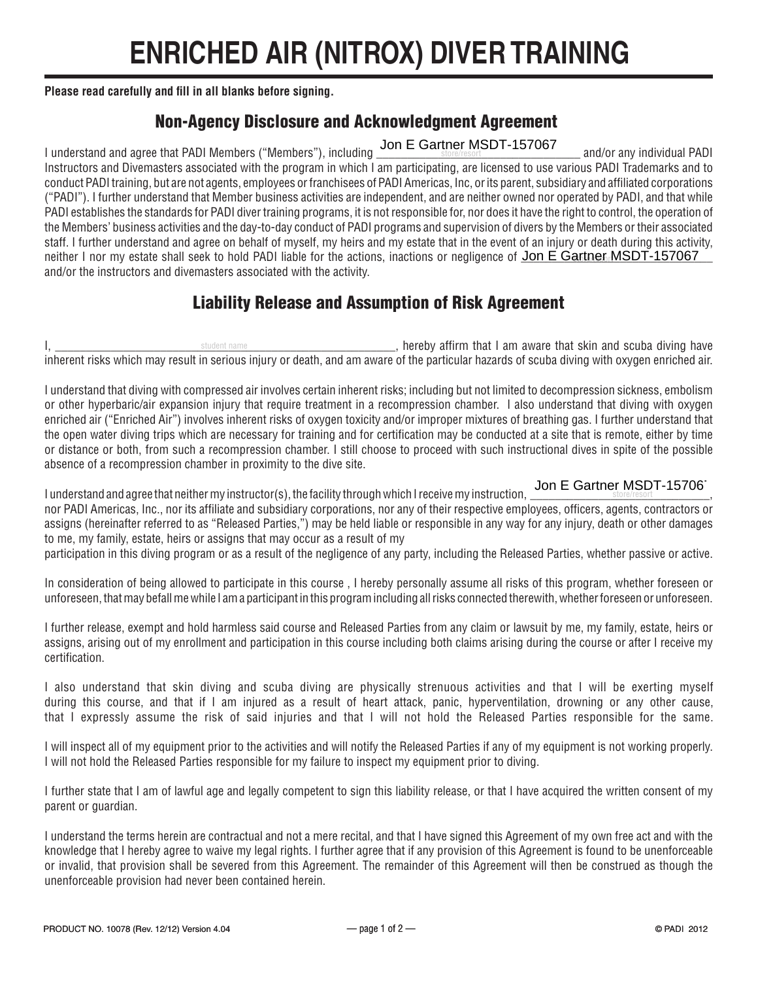## **ENRICHED AIR (NITROX) DIVER TRAINING**

**Please read carefully and fill in all blanks before signing.**

## Non-Agency Disclosure and Acknowledgment Agreement

I understand and agree that PADI Members ("Members"), including Jon E Gartner MSDT-157067 and/or any individual PADI Instructors and Divemasters associated with the program in which I am participating, are licensed to use various PADI Trademarks and to conduct PADI training, but are not agents, employees or franchisees of PADI Americas, Inc, or its parent, subsidiary and affiliated corporations ("PADI"). I further understand that Member business activities are independent, and are neither owned nor operated by PADI, and that while PADI establishes the standards for PADI diver training programs, it is not responsible for, nor does it have the right to control, the operation of the Members' business activities and the day-to-day conduct of PADI programs and supervision of divers by the Members or their associated staff. I further understand and agree on behalf of myself, my heirs and my estate that in the event of an injury or death during this activity, neither I nor my estate shall seek to hold PADI liable for the actions, inactions or negligence of Jon E Gartner MSDT-157067 and/or the instructors and divemasters associated with the activity.

## Liability Release and Assumption of Risk Agreement

I, \_\_\_\_\_\_\_\_\_\_\_\_\_\_\_\_\_\_\_\_\_\_\_\_\_\_\_\_\_\_\_\_\_\_\_\_\_\_\_\_\_\_\_\_\_\_\_\_\_\_\_\_\_\_\_, hereby affirm that I am aware that skin and scuba diving have inherent risks which may result in serious injury or death, and am aware of the particular hazards of scuba diving with oxygen enriched air. student name

I understand that diving with compressed air involves certain inherent risks; including but not limited to decompression sickness, embolism or other hyperbaric/air expansion injury that require treatment in a recompression chamber. I also understand that diving with oxygen enriched air ("Enriched Air") involves inherent risks of oxygen toxicity and/or improper mixtures of breathing gas. I further understand that the open water diving trips which are necessary for training and for certification may be conducted at a site that is remote, either by time or distance or both, from such a recompression chamber. I still choose to proceed with such instructional dives in spite of the possible absence of a recompression chamber in proximity to the dive site.

I understand and agree that neither my instructor(s), the facility through which I receive my instruction,  $\frac{\textsf{Join E Gartner MSDT-157067}}{\textsf{short}}$ nor PADI Americas, Inc., nor its affiliate and subsidiary corporations, nor any of their respective employees, officers, agents, contractors or<br>Inor PADI Americas, Inc., nor its affiliate and subsidiary corporations, nor a assigns (hereinafter referred to as "Released Parties,") may be held liable or responsible in any way for any injury, death or other damages to me, my family, estate, heirs or assigns that may occur as a result of my

participation in this diving program or as a result of the negligence of any party, including the Released Parties, whether passive or active.

In consideration of being allowed to participate in this course , I hereby personally assume all risks of this program, whether foreseen or unforeseen, that may befall me while I am a participant in this program including all risks connected therewith, whether foreseen or unforeseen.

I further release, exempt and hold harmless said course and Released Parties from any claim or lawsuit by me, my family, estate, heirs or assigns, arising out of my enrollment and participation in this course including both claims arising during the course or after I receive my certification.

I also understand that skin diving and scuba diving are physically strenuous activities and that I will be exerting myself during this course, and that if I am injured as a result of heart attack, panic, hyperventilation, drowning or any other cause, that I expressly assume the risk of said injuries and that I will not hold the Released Parties responsible for the same.

I will inspect all of my equipment prior to the activities and will notify the Released Parties if any of my equipment is not working properly. I will not hold the Released Parties responsible for my failure to inspect my equipment prior to diving.

I further state that I am of lawful age and legally competent to sign this liability release, or that I have acquired the written consent of my parent or guardian.

I understand the terms herein are contractual and not a mere recital, and that I have signed this Agreement of my own free act and with the knowledge that I hereby agree to waive my legal rights. I further agree that if any provision of this Agreement is found to be unenforceable or invalid, that provision shall be severed from this Agreement. The remainder of this Agreement will then be construed as though the unenforceable provision had never been contained herein.